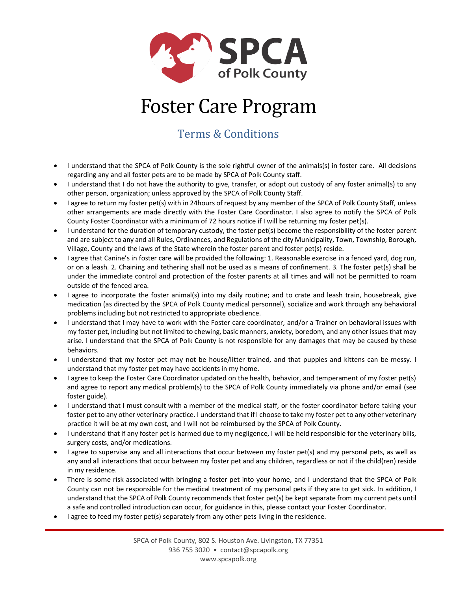

## Foster Care Program

## Terms & Conditions

- I understand that the SPCA of Polk County is the sole rightful owner of the animals(s) in foster care. All decisions regarding any and all foster pets are to be made by SPCA of Polk County staff.
- I understand that I do not have the authority to give, transfer, or adopt out custody of any foster animal(s) to any other person, organization; unless approved by the SPCA of Polk County Staff.
- I agree to return my foster pet(s) with in 24hours of request by any member of the SPCA of Polk County Staff, unless other arrangements are made directly with the Foster Care Coordinator. I also agree to notify the SPCA of Polk County Foster Coordinator with a minimum of 72 hours notice if I will be returning my foster pet(s).
- I understand for the duration of temporary custody, the foster pet(s) become the responsibility of the foster parent and are subject to any and all Rules, Ordinances, and Regulations of the city Municipality, Town, Township, Borough, Village, County and the laws of the State wherein the foster parent and foster pet(s) reside.
- I agree that Canine's in foster care will be provided the following: 1. Reasonable exercise in a fenced yard, dog run, or on a leash. 2. Chaining and tethering shall not be used as a means of confinement. 3. The foster pet(s) shall be under the immediate control and protection of the foster parents at all times and will not be permitted to roam outside of the fenced area.
- I agree to incorporate the foster animal(s) into my daily routine; and to crate and leash train, housebreak, give medication (as directed by the SPCA of Polk County medical personnel), socialize and work through any behavioral problems including but not restricted to appropriate obedience.
- I understand that I may have to work with the Foster care coordinator, and/or a Trainer on behavioral issues with my foster pet, including but not limited to chewing, basic manners, anxiety, boredom, and any other issues that may arise. I understand that the SPCA of Polk County is not responsible for any damages that may be caused by these behaviors.
- I understand that my foster pet may not be house/litter trained, and that puppies and kittens can be messy. I understand that my foster pet may have accidents in my home.
- I agree to keep the Foster Care Coordinator updated on the health, behavior, and temperament of my foster pet(s) and agree to report any medical problem(s) to the SPCA of Polk County immediately via phone and/or email (see foster guide).
- I understand that I must consult with a member of the medical staff, or the foster coordinator before taking your foster pet to any other veterinary practice. I understand that if I choose to take my foster pet to any other veterinary practice it will be at my own cost, and I will not be reimbursed by the SPCA of Polk County.
- I understand that if any foster pet is harmed due to my negligence, I will be held responsible for the veterinary bills, surgery costs, and/or medications.
- I agree to supervise any and all interactions that occur between my foster pet(s) and my personal pets, as well as any and all interactions that occur between my foster pet and any children, regardless or not if the child(ren) reside in my residence.
- There is some risk associated with bringing a foster pet into your home, and I understand that the SPCA of Polk County can not be responsible for the medical treatment of my personal pets if they are to get sick. In addition, I understand that the SPCA of Polk County recommends that foster pet(s) be kept separate from my current pets until a safe and controlled introduction can occur, for guidance in this, please contact your Foster Coordinator.
- I agree to feed my foster pet(s) separately from any other pets living in the residence.